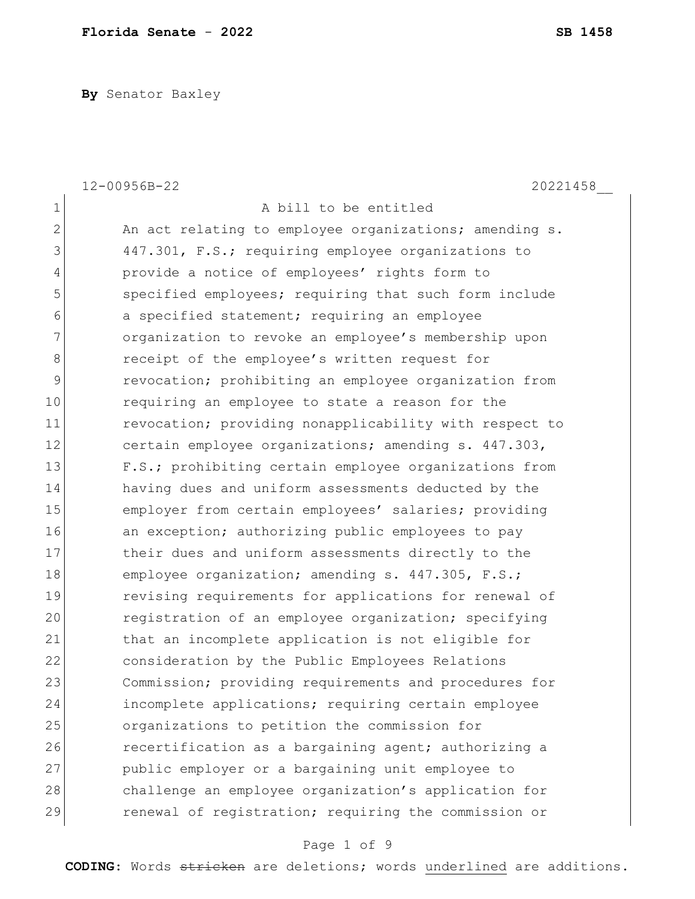**By** Senator Baxley

|              | 12-00956B-22<br>20221458                               |
|--------------|--------------------------------------------------------|
| $\mathbf 1$  | A bill to be entitled                                  |
| $\mathbf{2}$ | An act relating to employee organizations; amending s. |
| 3            | 447.301, F.S.; requiring employee organizations to     |
| 4            | provide a notice of employees' rights form to          |
| 5            | specified employees; requiring that such form include  |
| 6            | a specified statement; requiring an employee           |
| 7            | organization to revoke an employee's membership upon   |
| 8            | receipt of the employee's written request for          |
| 9            | revocation; prohibiting an employee organization from  |
| 10           | requiring an employee to state a reason for the        |
| 11           | revocation; providing nonapplicability with respect to |
| 12           | certain employee organizations; amending s. 447.303,   |
| 13           | F.S.; prohibiting certain employee organizations from  |
| 14           | having dues and uniform assessments deducted by the    |
| 15           | employer from certain employees' salaries; providing   |
| 16           | an exception; authorizing public employees to pay      |
| 17           | their dues and uniform assessments directly to the     |
| 18           | employee organization; amending s. 447.305, F.S.;      |
| 19           | revising requirements for applications for renewal of  |
| 20           | registration of an employee organization; specifying   |
| 21           | that an incomplete application is not eligible for     |
| 22           | consideration by the Public Employees Relations        |
| 23           | Commission; providing requirements and procedures for  |
| 24           | incomplete applications; requiring certain employee    |
| 25           | organizations to petition the commission for           |
| 26           | recertification as a bargaining agent; authorizing a   |
| 27           | public employer or a bargaining unit employee to       |
| 28           | challenge an employee organization's application for   |
| 29           | renewal of registration; requiring the commission or   |

# Page 1 of 9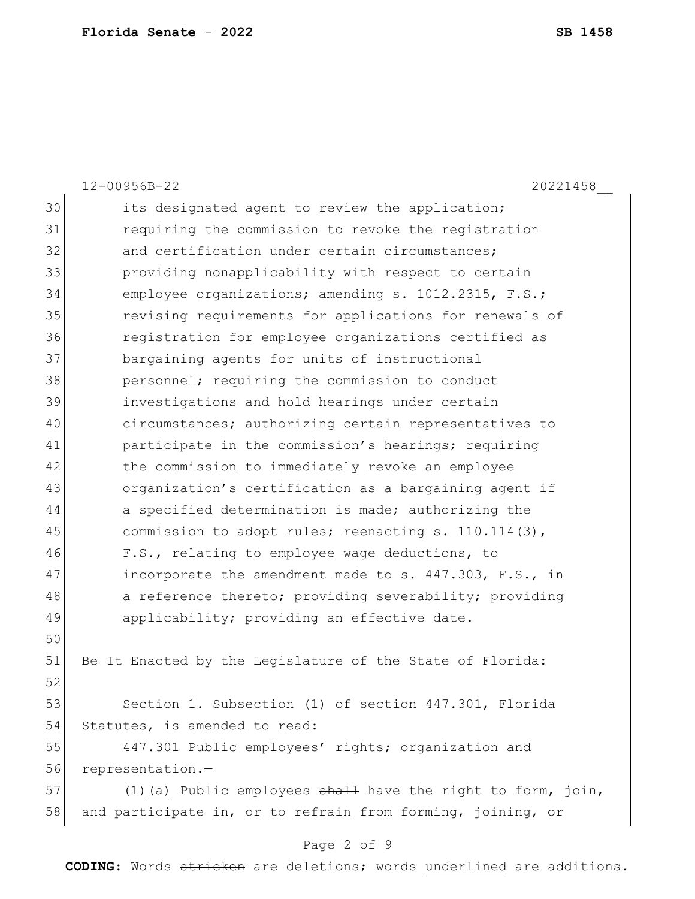|    | $12 - 00956B - 22$<br>20221458                                   |
|----|------------------------------------------------------------------|
| 30 | its designated agent to review the application;                  |
| 31 | requiring the commission to revoke the registration              |
| 32 | and certification under certain circumstances;                   |
| 33 | providing nonapplicability with respect to certain               |
| 34 | employee organizations; amending s. 1012.2315, F.S.;             |
| 35 | revising requirements for applications for renewals of           |
| 36 | reqistration for employee organizations certified as             |
| 37 | bargaining agents for units of instructional                     |
| 38 | personnel; requiring the commission to conduct                   |
| 39 | investigations and hold hearings under certain                   |
| 40 | circumstances; authorizing certain representatives to            |
| 41 | participate in the commission's hearings; requiring              |
| 42 | the commission to immediately revoke an employee                 |
| 43 | organization's certification as a bargaining agent if            |
| 44 | a specified determination is made; authorizing the               |
| 45 | commission to adopt rules; reenacting s. $110.114(3)$ ,          |
| 46 | F.S., relating to employee wage deductions, to                   |
| 47 | incorporate the amendment made to s. 447.303, F.S., in           |
| 48 | a reference thereto; providing severability; providing           |
| 49 | applicability; providing an effective date.                      |
| 50 |                                                                  |
| 51 | Be It Enacted by the Legislature of the State of Florida:        |
| 52 |                                                                  |
| 53 | Section 1. Subsection (1) of section 447.301, Florida            |
| 54 | Statutes, is amended to read:                                    |
| 55 | 447.301 Public employees' rights; organization and               |
| 56 | representation.-                                                 |
| 57 | $(1)$ (a) Public employees $shall$ have the right to form, join, |
| 58 | and participate in, or to refrain from forming, joining, or      |

# Page 2 of 9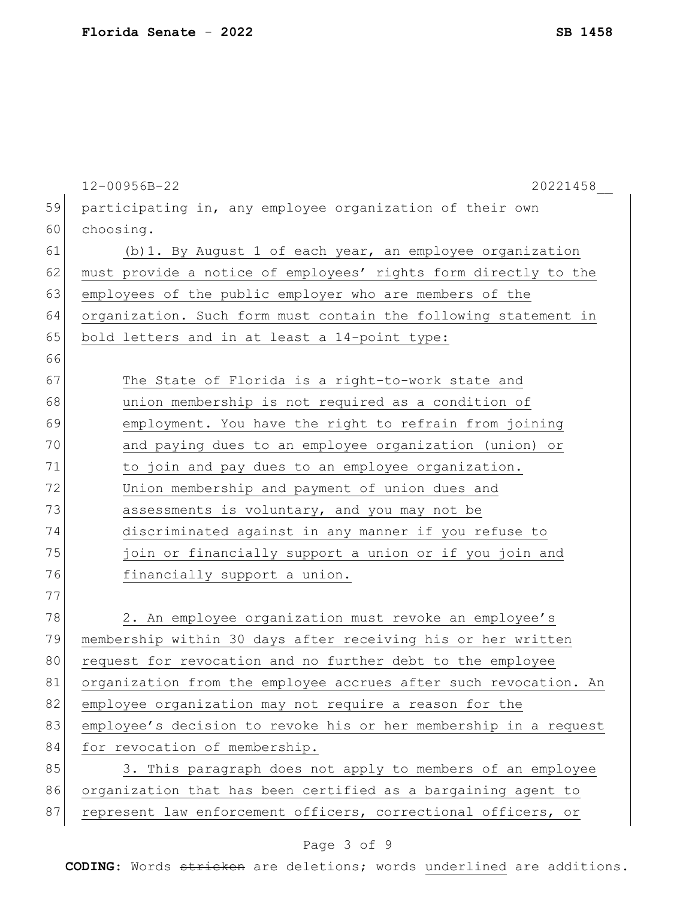|    | 12-00956B-22<br>20221458                                         |
|----|------------------------------------------------------------------|
| 59 | participating in, any employee organization of their own         |
| 60 | choosing.                                                        |
| 61 | (b) 1. By August 1 of each year, an employee organization        |
| 62 | must provide a notice of employees' rights form directly to the  |
| 63 | employees of the public employer who are members of the          |
| 64 | organization. Such form must contain the following statement in  |
| 65 | bold letters and in at least a 14-point type:                    |
| 66 |                                                                  |
| 67 | The State of Florida is a right-to-work state and                |
| 68 | union membership is not required as a condition of               |
| 69 | employment. You have the right to refrain from joining           |
| 70 | and paying dues to an employee organization (union) or           |
| 71 | to join and pay dues to an employee organization.                |
| 72 | Union membership and payment of union dues and                   |
| 73 | assessments is voluntary, and you may not be                     |
| 74 | discriminated against in any manner if you refuse to             |
| 75 | join or financially support a union or if you join and           |
| 76 | financially support a union.                                     |
| 77 |                                                                  |
| 78 | 2. An employee organization must revoke an employee's            |
| 79 | membership within 30 days after receiving his or her written     |
| 80 | request for revocation and no further debt to the employee       |
| 81 | organization from the employee accrues after such revocation. An |
| 82 | employee organization may not require a reason for the           |
| 83 | employee's decision to revoke his or her membership in a request |
| 84 | for revocation of membership.                                    |
| 85 | 3. This paragraph does not apply to members of an employee       |
| 86 | organization that has been certified as a bargaining agent to    |
| 87 | represent law enforcement officers, correctional officers, or    |
|    |                                                                  |

# Page 3 of 9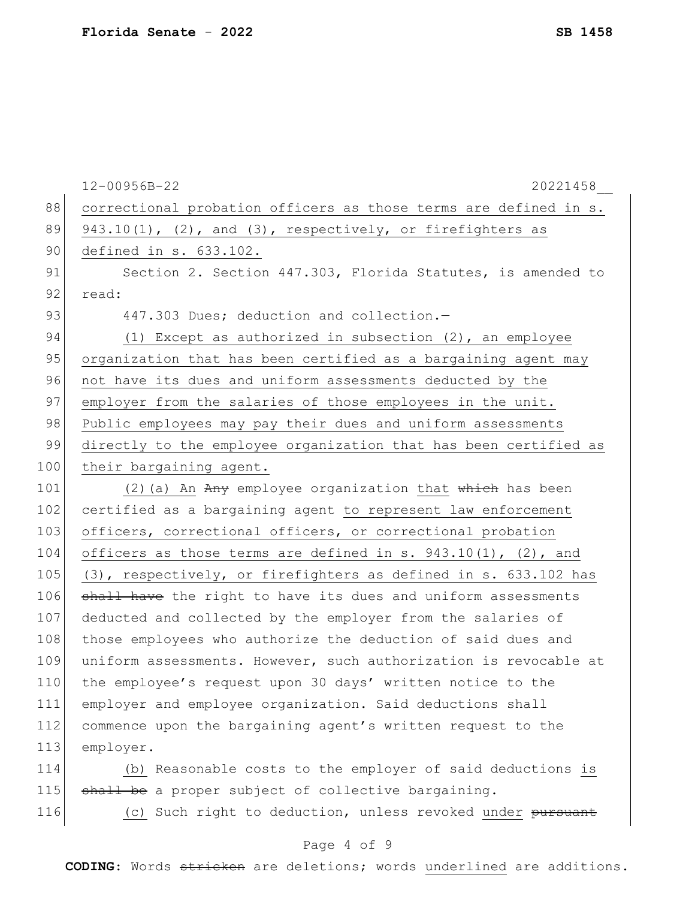|     | $12 - 00956B - 22$<br>20221458                                   |
|-----|------------------------------------------------------------------|
| 88  | correctional probation officers as those terms are defined in s. |
| 89  | $943.10(1)$ , (2), and (3), respectively, or firefighters as     |
| 90  | defined in s. 633.102.                                           |
| 91  | Section 2. Section 447.303, Florida Statutes, is amended to      |
| 92  | read:                                                            |
| 93  | 447.303 Dues; deduction and collection.-                         |
| 94  | (1) Except as authorized in subsection (2), an employee          |
| 95  | organization that has been certified as a bargaining agent may   |
| 96  | not have its dues and uniform assessments deducted by the        |
| 97  | employer from the salaries of those employees in the unit.       |
| 98  | Public employees may pay their dues and uniform assessments      |
| 99  | directly to the employee organization that has been certified as |
| 100 | their bargaining agent.                                          |
| 101 | (2) (a) An Any employee organization that which has been         |
| 102 | certified as a bargaining agent to represent law enforcement     |
| 103 | officers, correctional officers, or correctional probation       |
| 104 | officers as those terms are defined in s. $943.10(1)$ , (2), and |
| 105 | (3), respectively, or firefighters as defined in s. 633.102 has  |
| 106 | shall have the right to have its dues and uniform assessments    |
| 107 | deducted and collected by the employer from the salaries of      |
| 108 | those employees who authorize the deduction of said dues and     |
| 109 | uniform assessments. However, such authorization is revocable at |
| 110 | the employee's request upon 30 days' written notice to the       |
| 111 | employer and employee organization. Said deductions shall        |
| 112 | commence upon the bargaining agent's written request to the      |
| 113 | employer.                                                        |
| 114 | (b) Reasonable costs to the employer of said deductions is       |
| 115 | shall be a proper subject of collective bargaining.              |

116 (c) Such right to deduction, unless revoked under pursuant

# Page 4 of 9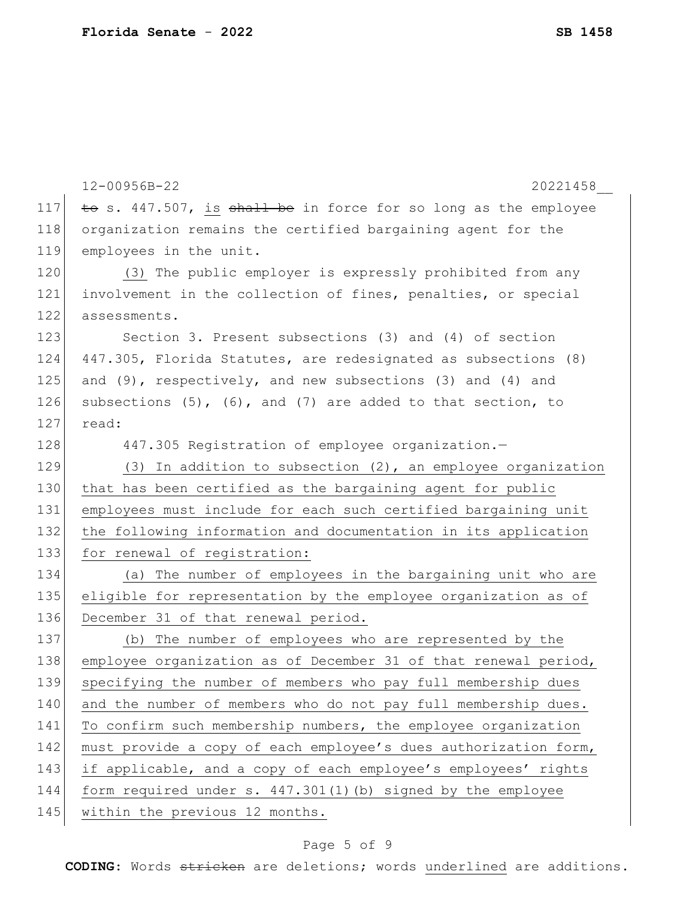|     | 12-00956B-22<br>20221458                                         |
|-----|------------------------------------------------------------------|
| 117 | to s. 447.507, is shall be in force for so long as the employee  |
| 118 | organization remains the certified bargaining agent for the      |
| 119 | employees in the unit.                                           |
| 120 | (3) The public employer is expressly prohibited from any         |
| 121 | involvement in the collection of fines, penalties, or special    |
| 122 | assessments.                                                     |
| 123 | Section 3. Present subsections (3) and (4) of section            |
| 124 | 447.305, Florida Statutes, are redesignated as subsections (8)   |
| 125 | and (9), respectively, and new subsections (3) and (4) and       |
| 126 | subsections (5), (6), and (7) are added to that section, to      |
| 127 | read:                                                            |
| 128 | 447.305 Registration of employee organization.-                  |
| 129 | $(3)$ In addition to subsection $(2)$ , an employee organization |
| 130 | that has been certified as the bargaining agent for public       |
| 131 | employees must include for each such certified bargaining unit   |
| 132 | the following information and documentation in its application   |
| 133 | for renewal of registration:                                     |
| 134 | (a) The number of employees in the bargaining unit who are       |
| 135 | eligible for representation by the employee organization as of   |
| 136 | December 31 of that renewal period.                              |
| 137 | (b) The number of employees who are represented by the           |
| 138 | employee organization as of December 31 of that renewal period,  |
| 139 | specifying the number of members who pay full membership dues    |
| 140 | and the number of members who do not pay full membership dues.   |
| 141 | To confirm such membership numbers, the employee organization    |
| 142 | must provide a copy of each employee's dues authorization form,  |
| 143 | if applicable, and a copy of each employee's employees' rights   |
| 144 | form required under s. 447.301(1)(b) signed by the employee      |
| 145 | within the previous 12 months.                                   |

# Page 5 of 9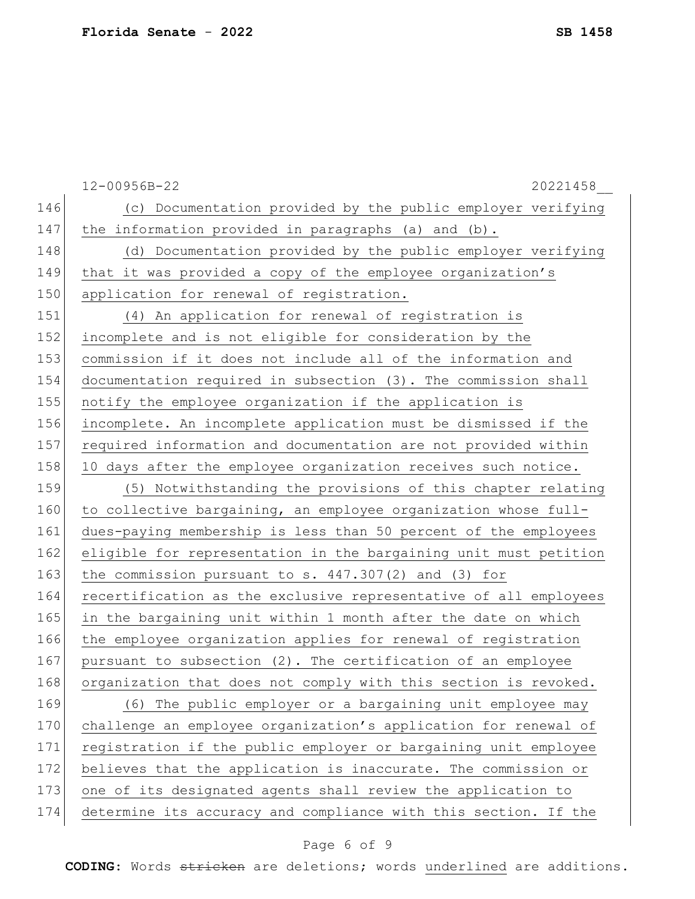|     | 12-00956B-22<br>20221458                                         |
|-----|------------------------------------------------------------------|
| 146 | (c) Documentation provided by the public employer verifying      |
| 147 | the information provided in paragraphs (a) and (b).              |
| 148 | (d) Documentation provided by the public employer verifying      |
| 149 | that it was provided a copy of the employee organization's       |
| 150 | application for renewal of registration.                         |
| 151 | (4) An application for renewal of registration is                |
| 152 | incomplete and is not eligible for consideration by the          |
| 153 | commission if it does not include all of the information and     |
| 154 | documentation required in subsection (3). The commission shall   |
| 155 | notify the employee organization if the application is           |
| 156 | incomplete. An incomplete application must be dismissed if the   |
| 157 | required information and documentation are not provided within   |
| 158 | 10 days after the employee organization receives such notice.    |
| 159 | (5) Notwithstanding the provisions of this chapter relating      |
| 160 | to collective bargaining, an employee organization whose full-   |
| 161 | dues-paying membership is less than 50 percent of the employees  |
| 162 | eligible for representation in the bargaining unit must petition |
| 163 | the commission pursuant to s. $447.307(2)$ and (3) for           |
| 164 | recertification as the exclusive representative of all employees |
| 165 | in the bargaining unit within 1 month after the date on which    |
| 166 | the employee organization applies for renewal of registration    |
| 167 | pursuant to subsection (2). The certification of an employee     |
| 168 | organization that does not comply with this section is revoked.  |
| 169 | (6) The public employer or a bargaining unit employee may        |
| 170 | challenge an employee organization's application for renewal of  |
| 171 | registration if the public employer or bargaining unit employee  |
| 172 | believes that the application is inaccurate. The commission or   |
| 173 | one of its designated agents shall review the application to     |
| 174 | determine its accuracy and compliance with this section. If the  |

# Page 6 of 9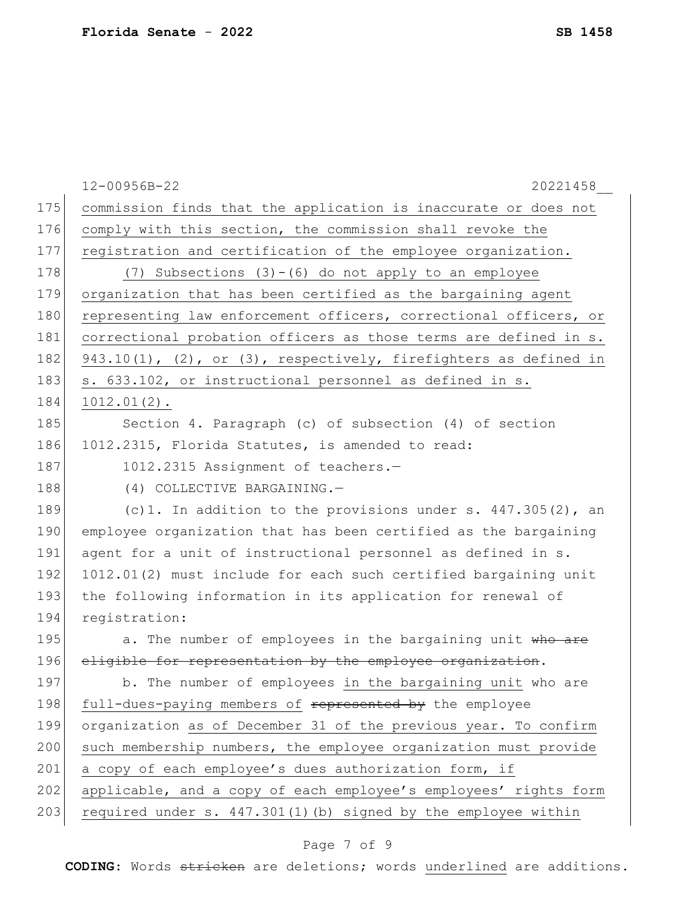|     | 12-00956B-22<br>20221458                                            |
|-----|---------------------------------------------------------------------|
| 175 | commission finds that the application is inaccurate or does not     |
| 176 | comply with this section, the commission shall revoke the           |
| 177 | registration and certification of the employee organization.        |
| 178 | (7) Subsections $(3)-(6)$ do not apply to an employee               |
| 179 | organization that has been certified as the bargaining agent        |
| 180 | representing law enforcement officers, correctional officers, or    |
| 181 | correctional probation officers as those terms are defined in s.    |
| 182 | $943.10(1)$ , (2), or (3), respectively, firefighters as defined in |
| 183 | s. 633.102, or instructional personnel as defined in s.             |
| 184 | $1012.01(2)$ .                                                      |
| 185 | Section 4. Paragraph (c) of subsection (4) of section               |
| 186 | 1012.2315, Florida Statutes, is amended to read:                    |
| 187 | 1012.2315 Assignment of teachers.-                                  |
| 188 | (4) COLLECTIVE BARGAINING.-                                         |
| 189 | (c)1. In addition to the provisions under s. $447.305(2)$ , an      |
| 190 | employee organization that has been certified as the bargaining     |
| 191 | agent for a unit of instructional personnel as defined in s.        |
| 192 | 1012.01(2) must include for each such certified bargaining unit     |
| 193 | the following information in its application for renewal of         |
| 194 | registration:                                                       |
| 195 | a. The number of employees in the bargaining unit who are           |
| 196 | eligible for representation by the employee organization.           |
| 197 | b. The number of employees in the bargaining unit who are           |
| 198 | full-dues-paying members of represented by the employee             |
| 199 | organization as of December 31 of the previous year. To confirm     |
| 200 | such membership numbers, the employee organization must provide     |
| 201 | a copy of each employee's dues authorization form, if               |
| 202 | applicable, and a copy of each employee's employees' rights form    |
| 203 | required under s. 447.301(1)(b) signed by the employee within       |
|     |                                                                     |

# Page 7 of 9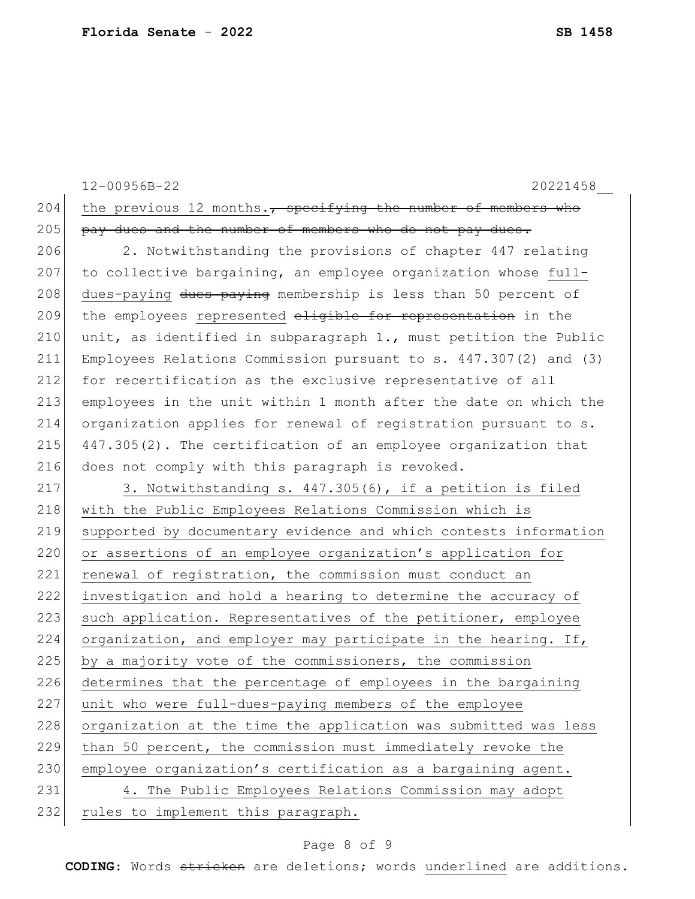|     | 12-00956B-22<br>20221458                                           |
|-----|--------------------------------------------------------------------|
| 204 | the previous 12 months., specifying the number of members who      |
| 205 | pay dues and the number of members who do not pay dues.            |
| 206 | 2. Notwithstanding the provisions of chapter 447 relating          |
| 207 | to collective bargaining, an employee organization whose full-     |
| 208 | dues-paying dues paying membership is less than 50 percent of      |
| 209 | the employees represented eligible for representation in the       |
| 210 | unit, as identified in subparagraph 1., must petition the Public   |
| 211 | Employees Relations Commission pursuant to $s. 447.307(2)$ and (3) |
| 212 | for recertification as the exclusive representative of all         |
| 213 | employees in the unit within 1 month after the date on which the   |
| 214 | organization applies for renewal of registration pursuant to s.    |
| 215 | 447.305(2). The certification of an employee organization that     |
| 216 | does not comply with this paragraph is revoked.                    |
| 217 | 3. Notwithstanding s. 447.305(6), if a petition is filed           |
| 218 | with the Public Employees Relations Commission which is            |
| 219 | supported by documentary evidence and which contests information   |
| 220 | or assertions of an employee organization's application for        |
| 221 | renewal of registration, the commission must conduct an            |
| 222 | investigation and hold a hearing to determine the accuracy of      |
| 223 | such application. Representatives of the petitioner, employee      |
| 224 | organization, and employer may participate in the hearing. If,     |
| 225 | by a majority vote of the commissioners, the commission            |
| 226 | determines that the percentage of employees in the bargaining      |
| 227 | unit who were full-dues-paying members of the employee             |
| 228 | organization at the time the application was submitted was less    |
| 229 | than 50 percent, the commission must immediately revoke the        |
| 230 | employee organization's certification as a bargaining agent.       |
| 231 | 4. The Public Employees Relations Commission may adopt             |
| 232 | rules to implement this paragraph.                                 |

# Page 8 of 9